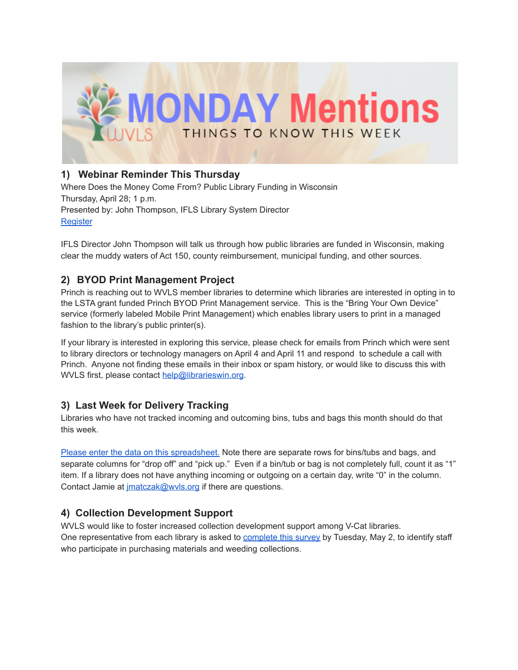

## **1) Webinar Reminder This Thursday**

Where Does the Money Come From? Public Library Funding in Wisconsin Thursday, April 28; 1 p.m. Presented by: John Thompson, IFLS Library System Director **[Register](https://us02web.zoom.us/webinar/register/WN_YjX48P-3RqCqDQF-rKGaPw)** 

IFLS Director John Thompson will talk us through how public libraries are funded in Wisconsin, making clear the muddy waters of Act 150, county reimbursement, municipal funding, and other sources.

## **2) BYOD Print Management Project**

Princh is reaching out to WVLS member libraries to determine which libraries are interested in opting in to the LSTA grant funded Princh BYOD Print Management service. This is the "Bring Your Own Device" service (formerly labeled Mobile Print Management) which enables library users to print in a managed fashion to the library's public printer(s).

If your library is interested in exploring this service, please check for emails from Princh which were sent to library directors or technology managers on April 4 and April 11 and respond to schedule a call with Princh. Anyone not finding these emails in their inbox or spam history, or would like to discuss this with WVLS first, please contact [help@librarieswin.org](mailto:help@librarieswin.org).

## **3) Last Week for Delivery Tracking**

Libraries who have not tracked incoming and outcoming bins, tubs and bags this month should do that this week.

Please enter the data on this [spreadsheet.](https://docs.google.com/spreadsheets/d/1gnVFPmPEIQCuguckUr1KOMBP3qB3mxA2XL0YH-sGdLg/edit?usp=sharing) Note there are separate rows for bins/tubs and bags, and separate columns for "drop off" and "pick up." Even if a bin/tub or bag is not completely full, count it as "1" item. If a library does not have anything incoming or outgoing on a certain day, write "0" in the column. Contact Jamie at *imatczak@wvls.org* if there are questions.

# **4) Collection Development Support**

WVLS would like to foster increased collection development support among V-Cat libraries. One representative from each library is asked to [complete](https://forms.gle/K7YwGp3HrxpEDp246) this survey by Tuesday, May 2, to identify staff who participate in purchasing materials and weeding collections.